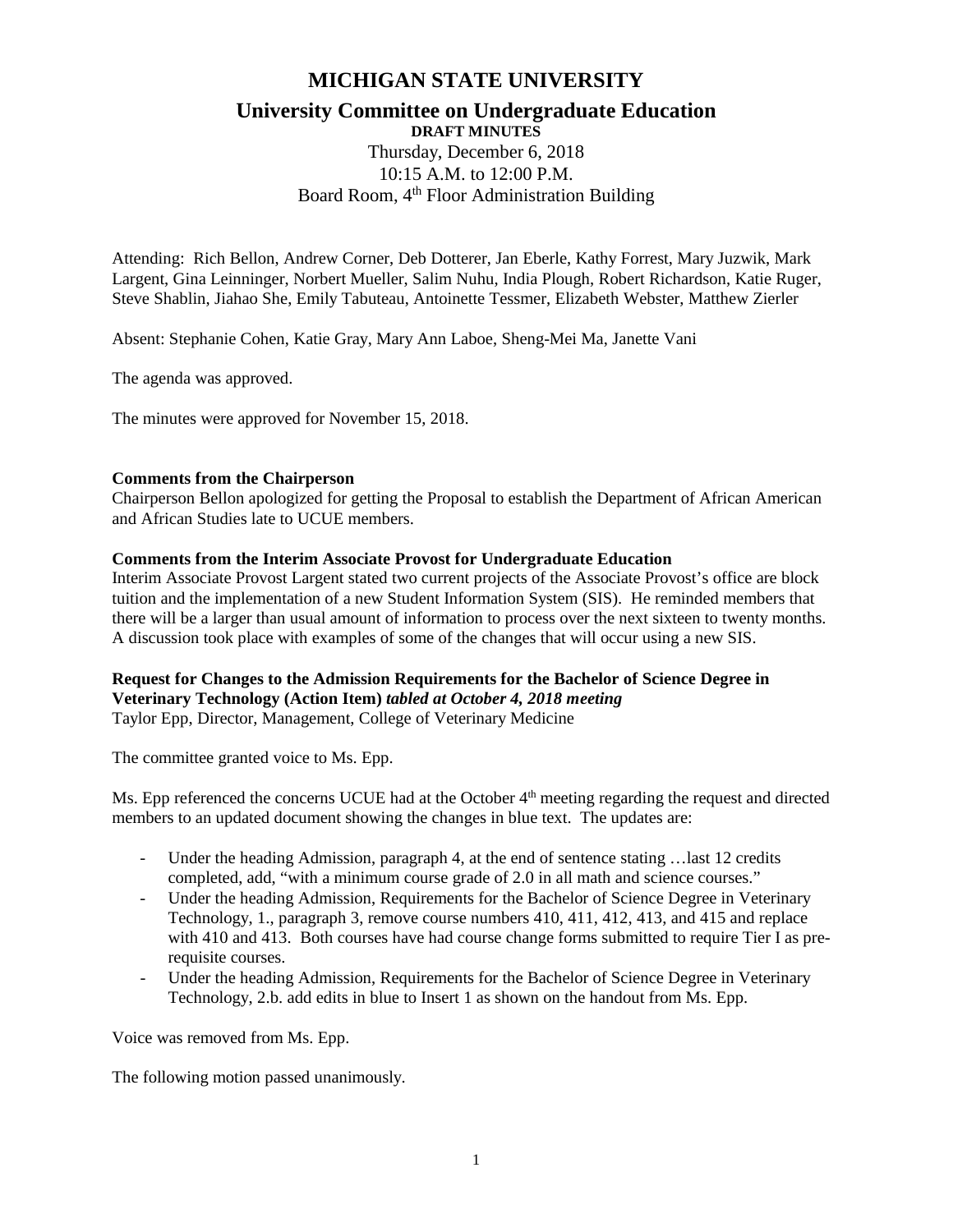# **MICHIGAN STATE UNIVERSITY**

# **University Committee on Undergraduate Education**

**DRAFT MINUTES** Thursday, December 6, 2018 10:15 A.M. to 12:00 P.M. Board Room, 4<sup>th</sup> Floor Administration Building

Attending: Rich Bellon, Andrew Corner, Deb Dotterer, Jan Eberle, Kathy Forrest, Mary Juzwik, Mark Largent, Gina Leinninger, Norbert Mueller, Salim Nuhu, India Plough, Robert Richardson, Katie Ruger, Steve Shablin, Jiahao She, Emily Tabuteau, Antoinette Tessmer, Elizabeth Webster, Matthew Zierler

Absent: Stephanie Cohen, Katie Gray, Mary Ann Laboe, Sheng-Mei Ma, Janette Vani

The agenda was approved.

The minutes were approved for November 15, 2018.

### **Comments from the Chairperson**

Chairperson Bellon apologized for getting the Proposal to establish the Department of African American and African Studies late to UCUE members.

### **Comments from the Interim Associate Provost for Undergraduate Education**

Interim Associate Provost Largent stated two current projects of the Associate Provost's office are block tuition and the implementation of a new Student Information System (SIS). He reminded members that there will be a larger than usual amount of information to process over the next sixteen to twenty months. A discussion took place with examples of some of the changes that will occur using a new SIS.

## **Request for Changes to the Admission Requirements for the Bachelor of Science Degree in Veterinary Technology (Action Item)** *tabled at October 4, 2018 meeting* Taylor Epp, Director, Management, College of Veterinary Medicine

The committee granted voice to Ms. Epp.

Ms. Epp referenced the concerns UCUE had at the October 4<sup>th</sup> meeting regarding the request and directed members to an updated document showing the changes in blue text. The updates are:

- Under the heading Admission, paragraph 4, at the end of sentence stating …last 12 credits completed, add, "with a minimum course grade of 2.0 in all math and science courses."
- Under the heading Admission, Requirements for the Bachelor of Science Degree in Veterinary Technology, 1., paragraph 3, remove course numbers 410, 411, 412, 413, and 415 and replace with 410 and 413. Both courses have had course change forms submitted to require Tier I as prerequisite courses.
- Under the heading Admission, Requirements for the Bachelor of Science Degree in Veterinary Technology, 2.b. add edits in blue to Insert 1 as shown on the handout from Ms. Epp.

Voice was removed from Ms. Epp.

The following motion passed unanimously.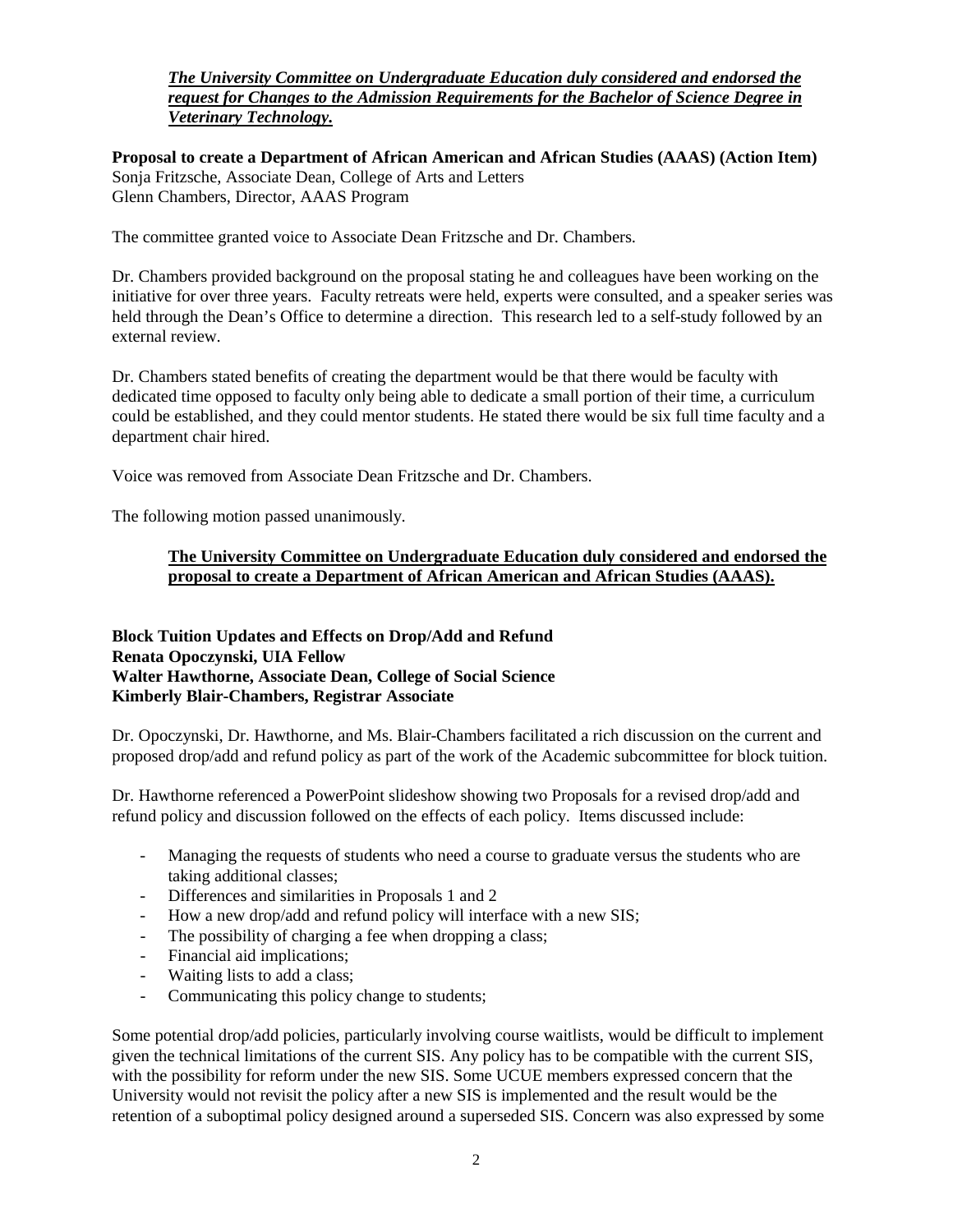# *The University Committee on Undergraduate Education duly considered and endorsed the request for Changes to the Admission Requirements for the Bachelor of Science Degree in Veterinary Technology.*

**Proposal to create a Department of African American and African Studies (AAAS) (Action Item)** Sonja Fritzsche, Associate Dean, College of Arts and Letters Glenn Chambers, Director, AAAS Program

The committee granted voice to Associate Dean Fritzsche and Dr. Chambers.

Dr. Chambers provided background on the proposal stating he and colleagues have been working on the initiative for over three years. Faculty retreats were held, experts were consulted, and a speaker series was held through the Dean's Office to determine a direction. This research led to a self-study followed by an external review.

Dr. Chambers stated benefits of creating the department would be that there would be faculty with dedicated time opposed to faculty only being able to dedicate a small portion of their time, a curriculum could be established, and they could mentor students. He stated there would be six full time faculty and a department chair hired.

Voice was removed from Associate Dean Fritzsche and Dr. Chambers.

The following motion passed unanimously.

# **The University Committee on Undergraduate Education duly considered and endorsed the proposal to create a Department of African American and African Studies (AAAS).**

# **Block Tuition Updates and Effects on Drop/Add and Refund Renata Opoczynski, UIA Fellow Walter Hawthorne, Associate Dean, College of Social Science Kimberly Blair-Chambers, Registrar Associate**

Dr. Opoczynski, Dr. Hawthorne, and Ms. Blair-Chambers facilitated a rich discussion on the current and proposed drop/add and refund policy as part of the work of the Academic subcommittee for block tuition.

Dr. Hawthorne referenced a PowerPoint slideshow showing two Proposals for a revised drop/add and refund policy and discussion followed on the effects of each policy. Items discussed include:

- Managing the requests of students who need a course to graduate versus the students who are taking additional classes;
- Differences and similarities in Proposals 1 and 2
- How a new drop/add and refund policy will interface with a new SIS;
- The possibility of charging a fee when dropping a class;
- Financial aid implications;
- Waiting lists to add a class;
- Communicating this policy change to students;

Some potential drop/add policies, particularly involving course waitlists, would be difficult to implement given the technical limitations of the current SIS. Any policy has to be compatible with the current SIS, with the possibility for reform under the new SIS. Some UCUE members expressed concern that the University would not revisit the policy after a new SIS is implemented and the result would be the retention of a suboptimal policy designed around a superseded SIS. Concern was also expressed by some